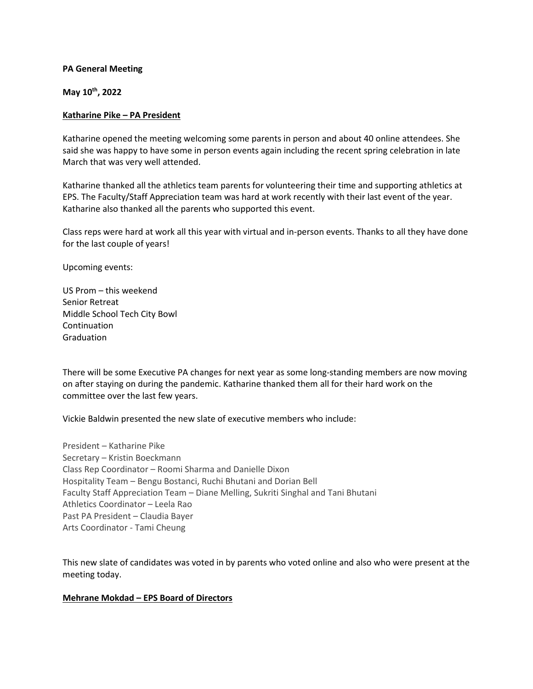#### **PA General Meeting**

**May 10th, 2022**

#### **Katharine Pike – PA President**

Katharine opened the meeting welcoming some parents in person and about 40 online attendees. She said she was happy to have some in person events again including the recent spring celebration in late March that was very well attended.

Katharine thanked all the athletics team parents for volunteering their time and supporting athletics at EPS. The Faculty/Staff Appreciation team was hard at work recently with their last event of the year. Katharine also thanked all the parents who supported this event.

Class reps were hard at work all this year with virtual and in-person events. Thanks to all they have done for the last couple of years!

Upcoming events:

US Prom – this weekend Senior Retreat Middle School Tech City Bowl Continuation Graduation

There will be some Executive PA changes for next year as some long-standing members are now moving on after staying on during the pandemic. Katharine thanked them all for their hard work on the committee over the last few years.

Vickie Baldwin presented the new slate of executive members who include:

President – Katharine Pike Secretary – Kristin Boeckmann Class Rep Coordinator – Roomi Sharma and Danielle Dixon Hospitality Team – Bengu Bostanci, Ruchi Bhutani and Dorian Bell Faculty Staff Appreciation Team – Diane Melling, Sukriti Singhal and Tani Bhutani Athletics Coordinator – Leela Rao Past PA President – Claudia Bayer Arts Coordinator - Tami Cheung

This new slate of candidates was voted in by parents who voted online and also who were present at the meeting today.

## **Mehrane Mokdad – EPS Board of Directors**